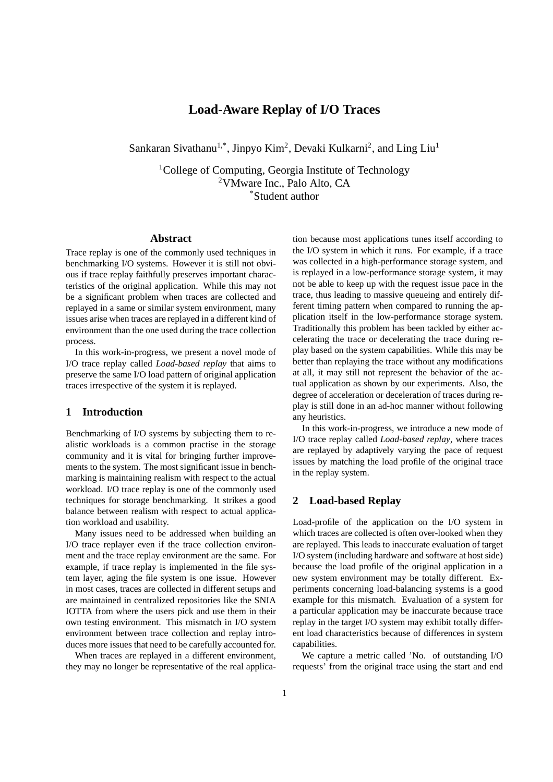# **Load-Aware Replay of I/O Traces**

Sankaran Sivathanu<sup>1,\*</sup>, Jinpyo Kim<sup>2</sup>, Devaki Kulkarni<sup>2</sup>, and Ling Liu<sup>1</sup>

<sup>1</sup>College of Computing, Georgia Institute of Technology <sup>2</sup>VMware Inc., Palo Alto, CA \*Student author

### **Abstract**

Trace replay is one of the commonly used techniques in benchmarking I/O systems. However it is still not obvious if trace replay faithfully preserves important characteristics of the original application. While this may not be a significant problem when traces are collected and replayed in a same or similar system environment, many issues arise when traces are replayed in a different kind of environment than the one used during the trace collection process.

In this work-in-progress, we present a novel mode of I/O trace replay called *Load-based replay* that aims to preserve the same I/O load pattern of original application traces irrespective of the system it is replayed.

## **1 Introduction**

Benchmarking of I/O systems by subjecting them to realistic workloads is a common practise in the storage community and it is vital for bringing further improvements to the system. The most significant issue in benchmarking is maintaining realism with respect to the actual workload. I/O trace replay is one of the commonly used techniques for storage benchmarking. It strikes a good balance between realism with respect to actual application workload and usability.

Many issues need to be addressed when building an I/O trace replayer even if the trace collection environment and the trace replay environment are the same. For example, if trace replay is implemented in the file system layer, aging the file system is one issue. However in most cases, traces are collected in different setups and are maintained in centralized repositories like the SNIA IOTTA from where the users pick and use them in their own testing environment. This mismatch in I/O system environment between trace collection and replay introduces more issues that need to be carefully accounted for.

When traces are replayed in a different environment, they may no longer be representative of the real applica-

tion because most applications tunes itself according to the I/O system in which it runs. For example, if a trace was collected in a high-performance storage system, and is replayed in a low-performance storage system, it may not be able to keep up with the request issue pace in the trace, thus leading to massive queueing and entirely different timing pattern when compared to running the application itself in the low-performance storage system. Traditionally this problem has been tackled by either accelerating the trace or decelerating the trace during replay based on the system capabilities. While this may be better than replaying the trace without any modifications at all, it may still not represent the behavior of the actual application as shown by our experiments. Also, the degree of acceleration or deceleration of traces during replay is still done in an ad-hoc manner without following any heuristics.

In this work-in-progress, we introduce a new mode of I/O trace replay called *Load-based replay*, where traces are replayed by adaptively varying the pace of request issues by matching the load profile of the original trace in the replay system.

#### **2 Load-based Replay**

Load-profile of the application on the I/O system in which traces are collected is often over-looked when they are replayed. This leads to inaccurate evaluation of target I/O system (including hardware and software at host side) because the load profile of the original application in a new system environment may be totally different. Experiments concerning load-balancing systems is a good example for this mismatch. Evaluation of a system for a particular application may be inaccurate because trace replay in the target I/O system may exhibit totally different load characteristics because of differences in system capabilities.

We capture a metric called 'No. of outstanding I/O requests' from the original trace using the start and end